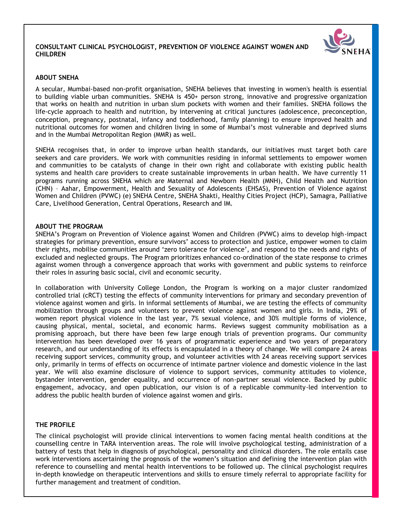#### **CONSULTANT CLINICAL PSYCHOLOGIST, PREVENTION OF VIOLENCE AGAINST WOMEN AND CHILDREN**



## **ABOUT SNEHA**

A secular, Mumbai-based non-profit organisation, SNEHA believes that investing in women's health is essential to building viable urban communities. SNEHA is 450+ person strong, innovative and progressive organization that works on health and nutrition in urban slum pockets with women and their families. SNEHA follows the life-cycle approach to health and nutrition, by intervening at critical junctures (adolescence, preconception, conception, pregnancy, postnatal, infancy and toddlerhood, family planning) to ensure improved health and nutritional outcomes for women and children living in some of Mumbai"s most vulnerable and deprived slums and in the Mumbai Metropolitan Region (MMR) as well.

SNEHA recognises that, in order to improve urban health standards, our initiatives must target both care seekers and care providers. We work with communities residing in informal settlements to empower women and communities to be catalysts of change in their own right and collaborate with existing public health systems and health care providers to create sustainable improvements in urban health. We have currently 11 programs running across SNEHA which are Maternal and Newborn Health (MNH), Child Health and Nutrition (CHN) – Aahar, Empowerment, Health and Sexuality of Adolescents (EHSAS), Prevention of Violence against Women and Children (PVWC) (e) SNEHA Centre, SNEHA Shakti, Healthy Cities Project (HCP), Samagra, Palliative Care, Livelihood Generation, Central Operations, Research and IM.

#### **ABOUT THE PROGRAM**

SNEHA"s Program on Prevention of Violence against Women and Children (PVWC) aims to develop high‐impact strategies for primary prevention, ensure survivors" access to protection and justice, empower women to claim their rights, mobilise communities around "zero tolerance for violence", and respond to the needs and rights of excluded and neglected groups. The Program prioritizes enhanced co-ordination of the state response to crimes against women through a convergence approach that works with government and public systems to reinforce their roles in assuring basic social, civil and economic security.

In collaboration with University College London, the Program is working on a major cluster randomized controlled trial (cRCT) testing the effects of community interventions for primary and secondary prevention of violence against women and girls. In informal settlements of Mumbai, we are testing the effects of community mobilization through groups and volunteers to prevent violence against women and girls. In India, 29% of women report physical violence in the last year, 7% sexual violence, and 30% multiple forms of violence, causing physical, mental, societal, and economic harms. Reviews suggest community mobilisation as a promising approach, but there have been few large enough trials of prevention programs. Our community intervention has been developed over 16 years of programmatic experience and two years of preparatory research, and our understanding of its effects is encapsulated in a theory of change. We will compare 24 areas receiving support services, community group, and volunteer activities with 24 areas receiving support services only, primarily in terms of effects on occurrence of intimate partner violence and domestic violence in the last year. We will also examine disclosure of violence to support services, community attitudes to violence, bystander intervention, gender equality, and occurrence of non-partner sexual violence. Backed by public engagement, advocacy, and open publication, our vision is of a replicable community-led intervention to address the public health burden of violence against women and girls.

#### **THE PROFILE**

The clinical psychologist will provide clinical interventions to women facing mental health conditions at the counselling centre in TARA intervention areas. The role will involve psychological testing, administration of a battery of tests that help in diagnosis of psychological, personality and clinical disorders. The role entails case work interventions ascertaining the prognosis of the women"s situation and defining the intervention plan with reference to counselling and mental health interventions to be followed up. The clinical psychologist requires in-depth knowledge on therapeutic interventions and skills to ensure timely referral to appropriate facility for further management and treatment of condition.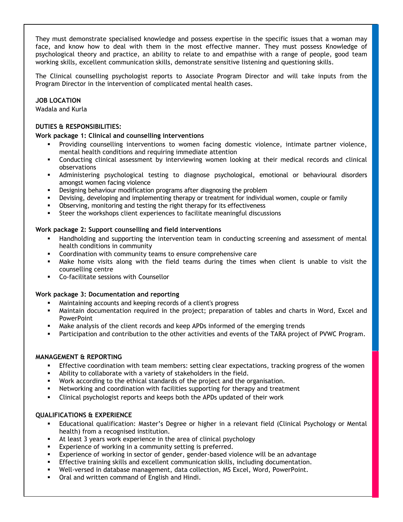They must demonstrate specialised knowledge and possess expertise in the specific issues that a woman may face, and know how to deal with them in the most effective manner. They must possess Knowledge of psychological theory and practice, an ability to relate to and empathise with a range of people, good team working skills, excellent communication skills, demonstrate sensitive listening and questioning skills.

The Clinical counselling psychologist reports to Associate Program Director and will take inputs from the Program Director in the intervention of complicated mental health cases.

## **JOB LOCATION**

Wadala and Kurla

## **DUTIES & RESPONSIBILITIES: Work package 1: Clinical and counselling interventions**

- Providing counselling interventions to women facing domestic violence, intimate partner violence, mental health conditions and requiring immediate attention
- Conducting clinical assessment by interviewing women looking at their medical records and clinical observations
- Administering psychological testing to diagnose psychological, emotional or behavioural disorders amongst women facing violence
- Designing behaviour modification programs after diagnosing the problem
- Devising, developing and implementing therapy or treatment for individual women, couple or family
- Observing, monitoring and testing the right therapy for its effectiveness
- Steer the workshops client experiences to facilitate meaningful discussions

## **Work package 2: Support counselling and field interventions**

- Handholding and supporting the intervention team in conducting screening and assessment of mental health conditions in community
- Coordination with community teams to ensure comprehensive care
- Make home visits along with the field teams during the times when client is unable to visit the counselling centre
- Co-facilitate sessions with Counsellor

#### **Work package 3: Documentation and reporting**

- Maintaining accounts and keeping records of a client's progress
- Maintain documentation required in the project; preparation of tables and charts in Word, Excel and **PowerPoint**
- Make analysis of the client records and keep APDs informed of the emerging trends
- Participation and contribution to the other activities and events of the TARA project of PVWC Program.

# **MANAGEMENT & REPORTING**

- Effective coordination with team members: setting clear expectations, tracking progress of the women
- Ability to collaborate with a variety of stakeholders in the field.
- Work according to the ethical standards of the project and the organisation.
- Networking and coordination with facilities supporting for therapy and treatment
- Clinical psychologist reports and keeps both the APDs updated of their work

# **QUALIFICATIONS & EXPERIENCE**

- Educational qualification: Master"s Degree or higher in a relevant field (Clinical Psychology or Mental health) from a recognised institution.
- At least 3 years work experience in the area of clinical psychology
- Experience of working in a community setting is preferred.
- Experience of working in sector of gender, gender-based violence will be an advantage
- Effective training skills and excellent communication skills, including documentation.
- Well-versed in database management, data collection, MS Excel, Word, PowerPoint.
- **•** Oral and written command of English and Hindi.